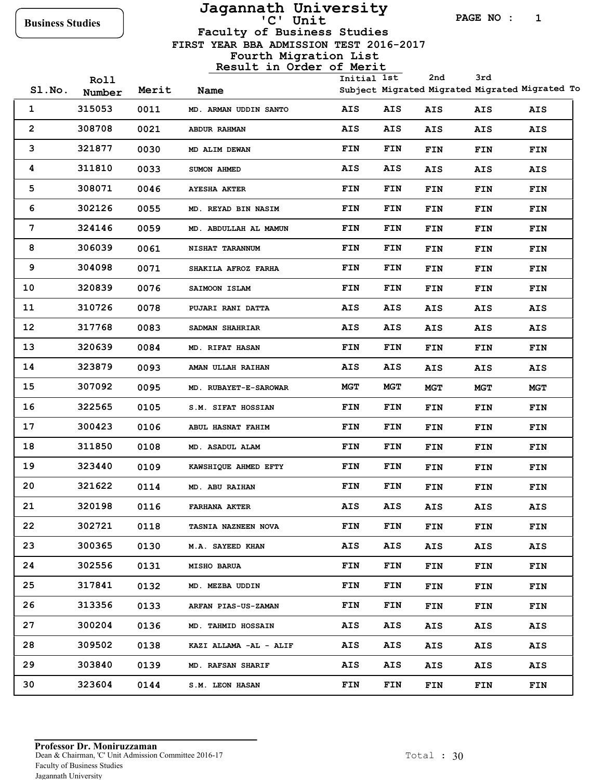# **Jagannath University**

**PAGE NO : 1**

 **FIRST YEAR BBA ADMISSION TEST 2016-2017 Faculty of Business Studies**

**Fourth Migration List**

|       | Roll   |       |                        | Initial 1st |            | 2nd        | 3rd        |                                                |
|-------|--------|-------|------------------------|-------------|------------|------------|------------|------------------------------------------------|
| SLNO. | Number | Merit | Name                   |             |            |            |            | Subject Migrated Migrated Migrated Migrated To |
| 1     | 315053 | 0011  | MD. ARMAN UDDIN SANTO  | AIS         | AIS        | AIS        | AIS        | AIS                                            |
| 2     | 308708 | 0021  | ABDUR RAHMAN           | AIS         | AIS        | AIS        | AIS        | AIS                                            |
| 3     | 321877 | 0030  | MD ALIM DEWAN          | <b>FIN</b>  | FIN        | FIN        | FIN        | <b>FIN</b>                                     |
| 4     | 311810 | 0033  | <b>SUMON AHMED</b>     | <b>AIS</b>  | <b>AIS</b> | AIS        | AIS        | AIS                                            |
| 5     | 308071 | 0046  | <b>AYESHA AKTER</b>    | FIN         | FIN        | FIN        | FIN        | FIN                                            |
| 6     | 302126 | 0055  | MD. REYAD BIN NASIM    | <b>FIN</b>  | FIN        | FIN        | FIN        | FIN                                            |
| 7     | 324146 | 0059  | MD. ABDULLAH AL MAMUN  | <b>FIN</b>  | FIN        | FIN        | <b>FIN</b> | FIN                                            |
| 8     | 306039 | 0061  | NISHAT TARANNUM        | <b>FIN</b>  | FIN        | FIN        | FIN        | FIN                                            |
| 9     | 304098 | 0071  | SHAKILA AFROZ FARHA    | <b>FIN</b>  | FIN        | FIN        | FIN        | FIN                                            |
| 10    | 320839 | 0076  | SAIMOON ISLAM          | <b>FIN</b>  | FIN        | FIN        | FIN        | <b>FIN</b>                                     |
| 11    | 310726 | 0078  | PUJARI RANI DATTA      | AIS         | AIS        | AIS        | <b>AIS</b> | AIS                                            |
| 12    | 317768 | 0083  | SADMAN SHAHRIAR        | <b>AIS</b>  | <b>AIS</b> | AIS        | AIS        | AIS                                            |
| 13    | 320639 | 0084  | <b>MD. RIFAT HASAN</b> | <b>FIN</b>  | FIN        | FIN        | FIN        | FIN                                            |
| 14    | 323879 | 0093  | AMAN ULLAH RAIHAN      | <b>AIS</b>  | AIS        | AIS        | <b>AIS</b> | AIS                                            |
| 15    | 307092 | 0095  | MD. RUBAYET-E-SAROWAR  | <b>MGT</b>  | <b>MGT</b> | <b>MGT</b> | MGT        | MGT                                            |
| 16    | 322565 | 0105  | S.M. SIFAT HOSSIAN     | <b>FIN</b>  | <b>FIN</b> | FIN        | FIN        | FIN                                            |
| 17    | 300423 | 0106  | ABUL HASNAT FAHIM      | FIN         | FIN        | FIN        | FIN        | <b>FIN</b>                                     |
| 18    | 311850 | 0108  | MD. ASADUL ALAM        | <b>FIN</b>  | FIN        | FIN        | FIN        | <b>FIN</b>                                     |
| 19    | 323440 | 0109  | KAWSHIQUE AHMED EFTY   | <b>FIN</b>  | FIN        | FIN        | FIN        | <b>FIN</b>                                     |
| 20    | 321622 | 0114  | MD. ABU RAIHAN         | <b>FIN</b>  | FIN        | FIN        | FIN        | <b>FIN</b>                                     |
| 21    | 320198 | 0116  | <b>FARHANA AKTER</b>   | AIS         | AIS        | AIS        | <b>AIS</b> | AIS                                            |
| 22    | 302721 | 0118  | TASNIA NAZNEEN NOVA    | FIN         | FIN        | FIN        | FIN        | FIN                                            |
| 23    | 300365 | 0130  | M.A. SAYEED KHAN       | AIS         | AIS        | AIS        | AIS        | AIS                                            |
| 24    | 302556 | 0131  | <b>MISHO BARUA</b>     | FIN         | FIN        | FIN        | FIN        | <b>FIN</b>                                     |
| 25    | 317841 | 0132  | MD. MEZBA UDDIN        | <b>FIN</b>  | FIN        | FIN        | FIN        | <b>FIN</b>                                     |
| 26    | 313356 | 0133  | ARFAN PIAS-US-ZAMAN    | <b>FIN</b>  | FIN        | FIN        | FIN        | <b>FIN</b>                                     |
| 27    | 300204 | 0136  | MD. TAHMID HOSSAIN     | AIS         | AIS        | AIS        | AIS        | AIS                                            |
| 28    | 309502 | 0138  | KAZI ALLAMA -AL - ALIF | <b>AIS</b>  | AIS        | AIS        | AIS        | AIS                                            |
| 29    | 303840 | 0139  | MD. RAFSAN SHARIF      | AIS         | <b>AIS</b> | AIS        | AIS        | AIS                                            |
| 30    | 323604 | 0144  | S.M. LEON HASAN        | <b>FIN</b>  | FIN        | FIN        | FIN        | FIN                                            |
|       |        |       |                        |             |            |            |            |                                                |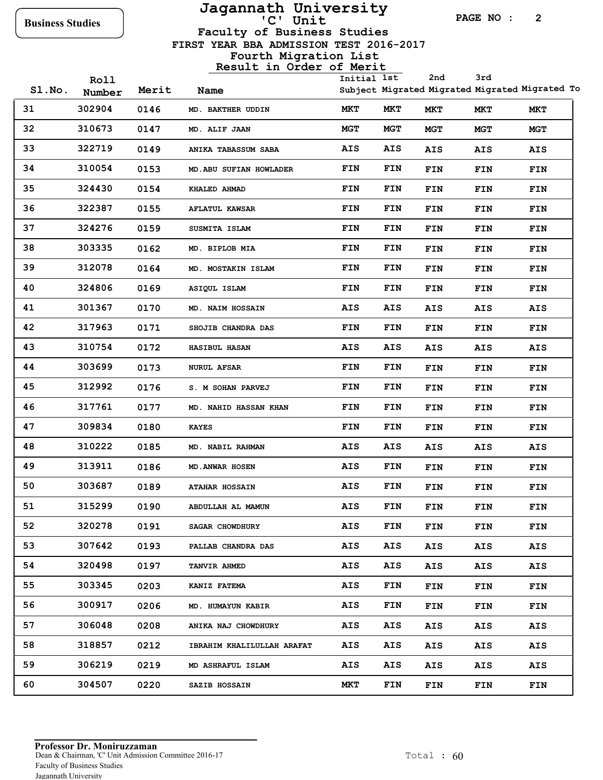# **Jagannath University**

**PAGE NO : 2**

 **FIRST YEAR BBA ADMISSION TEST 2016-2017 Faculty of Business Studies**

### **Fourth Migration List**

|       |                |       |                                   |             |            | 2nd        | 3rd        |                                                |
|-------|----------------|-------|-----------------------------------|-------------|------------|------------|------------|------------------------------------------------|
| SLNO. | Roll<br>Number | Merit | Name                              | Initial 1st |            |            |            | Subject Migrated Migrated Migrated Migrated To |
| 31    | 302904         | 0146  | MD. BAKTHER UDDIN                 | MKT         | MKT        | MKT        | MKT        | <b>MKT</b>                                     |
| 32    | 310673         | 0147  | MD. ALIF JAAN                     | <b>MGT</b>  | <b>MGT</b> | <b>MGT</b> | MGT        | <b>MGT</b>                                     |
| 33    | 322719         | 0149  | ANIKA TABASSUM SABA               | AIS         | AIS        | AIS        | <b>AIS</b> | AIS                                            |
| 34    | 310054         | 0153  | MD. ABU SUFIAN HOWLADER           | FIN         | FIN        | <b>FIN</b> | FIN        | FIN                                            |
| 35    | 324430         | 0154  | KHALED AHMAD                      | FIN         | FIN        | <b>FIN</b> | FIN        | FIN                                            |
| 36    | 322387         | 0155  | <b>AFLATUL KAWSAR</b>             | FIN         | FIN        | FIN        | FIN        | <b>FIN</b>                                     |
| 37    | 324276         | 0159  | SUSMITA ISLAM                     | FIN         | FIN        | <b>FIN</b> | FIN        | FIN                                            |
| 38    | 303335         | 0162  | MD. BIPLOB MIA                    | FIN         | FIN        | <b>FIN</b> | FIN        | <b>FIN</b>                                     |
| 39    | 312078         | 0164  | MD. MOSTAKIN ISLAM                | FIN         | FIN        | <b>FIN</b> | FIN        | <b>FIN</b>                                     |
| 40    | 324806         | 0169  | ASIQUL ISLAM                      | FIN         | FIN        | <b>FIN</b> | FIN        | <b>FIN</b>                                     |
| 41    | 301367         | 0170  | MD. NAIM HOSSAIN                  | AIS         | AIS        | AIS        | AIS        | AIS                                            |
| 42    | 317963         | 0171  | SHOJIB CHANDRA DAS                | FIN         | FIN        | <b>FIN</b> | FIN        | <b>FIN</b>                                     |
| 43    | 310754         | 0172  | <b>HASIBUL HASAN</b>              | <b>AIS</b>  | AIS        | <b>AIS</b> | <b>AIS</b> | AIS                                            |
| 44    | 303699         | 0173  | <b>NURUL AFSAR</b>                | FIN         | FIN        | <b>FIN</b> | FIN        | FIN                                            |
| 45    | 312992         | 0176  | S. M SOHAN PARVEJ                 | FIN         | FIN        | <b>FIN</b> | FIN        | <b>FIN</b>                                     |
| 46    | 317761         | 0177  | <b>MD. NAHID HASSAN KHAN</b>      | FIN         | FIN        | <b>FIN</b> | FIN        | FIN                                            |
| 47    | 309834         | 0180  | <b>KAYES</b>                      | FIN         | FIN        | <b>FIN</b> | <b>FIN</b> | <b>FIN</b>                                     |
| 48    | 310222         | 0185  | MD. NABIL RAHMAN                  | AIS         | AIS        | <b>AIS</b> | <b>AIS</b> | AIS                                            |
| 49    | 313911         | 0186  | MD. ANWAR HOSEN                   | <b>AIS</b>  | FIN        | <b>FIN</b> | FIN        | <b>FIN</b>                                     |
| 50    | 303687         | 0189  | <b>ATAHAR HOSSAIN</b>             | AIS         | FIN        | FIN        | <b>FIN</b> | FIN                                            |
| 51    | 315299         | 0190  | ABDULLAH AL MAMUN                 | AIS         | <b>FIN</b> | FIN        | FIN        | FIN                                            |
| 52    | 320278         | 0191  | <b>SAGAR CHOWDHURY</b>            | AIS         | FIN        | <b>FIN</b> | FIN        | <b>FIN</b>                                     |
| 53    | 307642         | 0193  | PALLAB CHANDRA DAS                | AIS         | AIS        | AIS        | AIS        | AIS                                            |
| 54    | 320498         | 0197  | <b>TANVIR AHMED</b>               | AIS         | AIS        | AIS        | AIS        | AIS                                            |
| 55    | 303345         | 0203  | <b>KANIZ FATEMA</b>               | AIS         | FIN        | <b>FIN</b> | FIN        | FIN                                            |
| 56    | 300917         | 0206  | MD. HUMAYUN KABIR                 | AIS         | FIN        | FIN        | FIN        | FIN                                            |
| 57    | 306048         | 0208  | ANIKA NAJ CHOWDHURY               | AIS         | AIS        | AIS        | AIS        | AIS                                            |
| 58    | 318857         | 0212  | <b>IBRAHIM KHALILULLAH ARAFAT</b> | AIS         | AIS        | AIS        | AIS        | AIS                                            |
| 59    | 306219         | 0219  | MD ASHRAFUL ISLAM                 | AIS         | AIS        | AIS        | AIS        | AIS                                            |
| 60    | 304507         | 0220  | <b>SAZIB HOSSAIN</b>              | <b>MKT</b>  | FIN        | FIN        | FIN        | FIN                                            |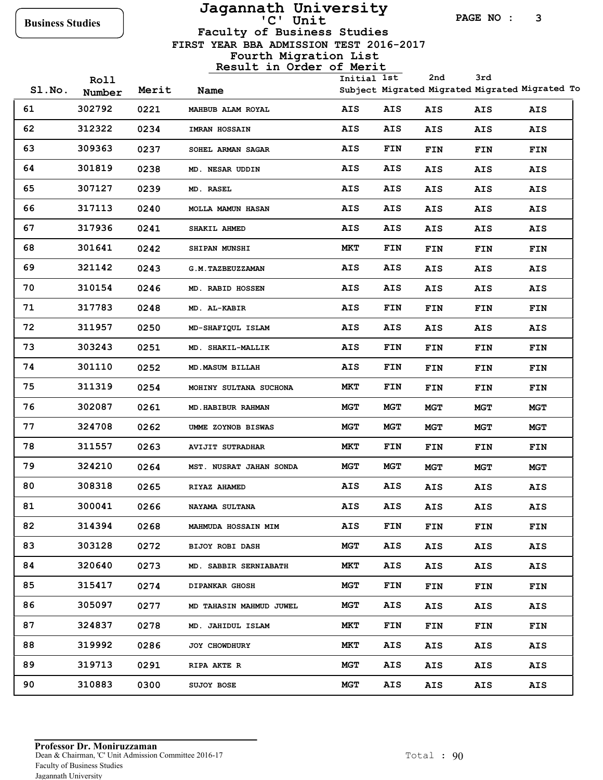# **Jagannath University**

**PAGE NO : 3**

**3rd**

 **FIRST YEAR BBA ADMISSION TEST 2016-2017 Faculty of Business Studies**

**Fourth Migration List**

| SLNO. | Roll<br>Number | Merit | Name                     | Initial 1st |            | 2nd        | 3rd        | Subject Migrated Migrated Migrated Migrated To |
|-------|----------------|-------|--------------------------|-------------|------------|------------|------------|------------------------------------------------|
| 61    | 302792         | 0221  | MAHBUB ALAM ROYAL        | AIS         | AIS        | AIS        | AIS        | AIS                                            |
| 62    | 312322         | 0234  | IMRAN HOSSAIN            | <b>AIS</b>  | <b>AIS</b> | AIS        | AIS        | AIS                                            |
| 63    | 309363         | 0237  | SOHEL ARMAN SAGAR        | <b>AIS</b>  | <b>FIN</b> | <b>FIN</b> | <b>FIN</b> | FIN                                            |
| 64    | 301819         | 0238  | MD. NESAR UDDIN          | <b>AIS</b>  | <b>AIS</b> | AIS        | <b>AIS</b> | AIS                                            |
| 65    | 307127         | 0239  | MD. RASEL                | <b>AIS</b>  | AIS        | AIS        | <b>AIS</b> | AIS                                            |
| 66    | 317113         | 0240  | <b>MOLLA MAMUN HASAN</b> | <b>AIS</b>  | <b>AIS</b> | AIS        | <b>AIS</b> | AIS                                            |
| 67    | 317936         | 0241  | <b>SHAKIL AHMED</b>      | <b>AIS</b>  | <b>AIS</b> | AIS        | <b>AIS</b> | AIS                                            |
| 68    | 301641         | 0242  | <b>SHIPAN MUNSHI</b>     | MКТ         | <b>FIN</b> | FIN        | <b>FIN</b> | FIN                                            |
| 69    | 321142         | 0243  | <b>G.M. TAZBEUZZAMAN</b> | <b>AIS</b>  | <b>AIS</b> | AIS        | <b>AIS</b> | AIS                                            |
| 70    | 310154         | 0246  | <b>MD. RABID HOSSEN</b>  | <b>AIS</b>  | <b>AIS</b> | AIS        | <b>AIS</b> | AIS                                            |
| 71    | 317783         | 0248  | MD. AL-KABIR             | <b>AIS</b>  | <b>FIN</b> | FIN        | <b>FIN</b> | FIN                                            |
| 72    | 311957         | 0250  | MD-SHAFIQUL ISLAM        | <b>AIS</b>  | <b>AIS</b> | AIS        | <b>AIS</b> | AIS                                            |
| 73    | 303243         | 0251  | MD. SHAKIL-MALLIK        | <b>AIS</b>  | <b>FIN</b> | FIN        | <b>FIN</b> | FIN                                            |
| 74    | 301110         | 0252  | MD.MASUM BILLAH          | <b>AIS</b>  | <b>FIN</b> | FIN        | <b>FIN</b> | FIN                                            |
| 75    | 311319         | 0254  | MOHINY SULTANA SUCHONA   | MКТ         | <b>FIN</b> | FIN        | <b>FIN</b> | FIN                                            |
| 76    | 302087         | 0261  | MD. HABIBUR RAHMAN       | <b>MGT</b>  | <b>MGT</b> | <b>MGT</b> | MGT        | <b>MGT</b>                                     |
| 77    | 324708         | 0262  | UMME ZOYNOB BISWAS       | <b>MGT</b>  | MGT        | <b>MGT</b> | <b>MGT</b> | MGT                                            |
| 78    | 311557         | 0263  | <b>AVIJIT SUTRADHAR</b>  | MКТ         | <b>FIN</b> | FIN        | <b>FIN</b> | FIN                                            |
| 79    | 324210         | 0264  | MST. NUSRAT JAHAN SONDA  | <b>MGT</b>  | <b>MGT</b> | <b>MGT</b> | MGT        | <b>MGT</b>                                     |
| 80    | 308318         | 0265  | <b>RIYAZ AHAMED</b>      | <b>AIS</b>  | <b>AIS</b> | AIS        | <b>AIS</b> | AIS                                            |
| 81    | 300041         | 0266  | NAYAMA SULTANA           | AIS         | AIS        | AIS        | <b>AIS</b> | AIS                                            |
| 82    | 314394         | 0268  | MAHMUDA HOSSAIN MIM      | AIS         | FIN        | <b>FIN</b> | FIN        | FIN                                            |
| 83    | 303128         | 0272  | <b>BIJOY ROBI DASH</b>   | <b>MGT</b>  | AIS        | AIS        | AIS        | AIS                                            |
| 84    | 320640         | 0273  | MD. SABBIR SERNIABATH    | MKT         | AIS        | AIS        | AIS        | AIS                                            |
| 85    | 315417         | 0274  | <b>DIPANKAR GHOSH</b>    | MGT         | <b>FIN</b> | FIN        | FIN        | <b>FIN</b>                                     |
| 86    | 305097         | 0277  | MD TAHASIN MAHMUD JUWEL  | MGT         | AIS        | AIS        | AIS        | AIS                                            |
| 87    | 324837         | 0278  | MD. JAHIDUL ISLAM        | MKT         | <b>FIN</b> | <b>FIN</b> | <b>FIN</b> | <b>FIN</b>                                     |
| 88    | 319992         | 0286  | JOY CHOWDHURY            | MKT         | AIS        | AIS        | AIS        | AIS                                            |
| 89    | 319713         | 0291  | <b>RIPA AKTE R</b>       | MGT         | AIS        | AIS        | AIS        | AIS                                            |
| 90    | 310883         | 0300  | SUJOY BOSE               | MGT         | AIS        | AIS        | AIS        | AIS                                            |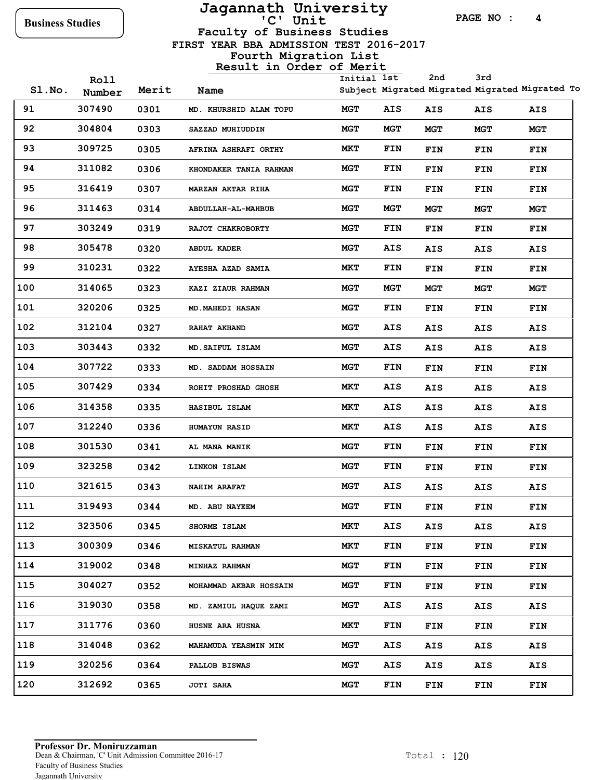### **Jagannath University Business Studies 'C' Unit**

**PAGE NO : 4**

 **FIRST YEAR BBA ADMISSION TEST 2016-2017 Faculty of Business Studies**

|       | Roll   |       |                        | Initial 1st |            | 2nd        | 3rd        |                                                |
|-------|--------|-------|------------------------|-------------|------------|------------|------------|------------------------------------------------|
| SLNO. | Number | Merit | Name                   |             |            |            |            | Subject Migrated Migrated Migrated Migrated To |
| 91    | 307490 | 0301  | MD. KHURSHID ALAM TOPU | <b>MGT</b>  | AIS        | AIS        | AIS        | AIS                                            |
| 92    | 304804 | 0303  | SAZZAD MUHIUDDIN       | <b>MGT</b>  | <b>MGT</b> | <b>MGT</b> | MGT        | <b>MGT</b>                                     |
| 93    | 309725 | 0305  | AFRINA ASHRAFI ORTHY   | <b>MKT</b>  | <b>FIN</b> | FIN        | FIN        | FIN                                            |
| 94    | 311082 | 0306  | KHONDAKER TANIA RAHMAN | <b>MGT</b>  | <b>FIN</b> | FIN        | FIN        | FIN                                            |
| 95    | 316419 | 0307  | MARZAN AKTAR RIHA      | <b>MGT</b>  | FIN        | <b>FIN</b> | FIN        | <b>FIN</b>                                     |
| 96    | 311463 | 0314  | ABDULLAH-AL-MAHBUB     | <b>MGT</b>  | <b>MGT</b> | <b>MGT</b> | <b>MGT</b> | MGT                                            |
| 97    | 303249 | 0319  | RAJOT CHAKROBORTY      | <b>MGT</b>  | <b>FIN</b> | <b>FIN</b> | FIN        | FIN                                            |
| 98    | 305478 | 0320  | <b>ABDUL KADER</b>     | MGT         | AIS        | AIS        | AIS        | AIS                                            |
| 99    | 310231 | 0322  | AYESHA AZAD SAMIA      | MКТ         | FIN        | FIN        | FIN        | FIN                                            |
| 100   | 314065 | 0323  | KAZI ZIAUR RAHMAN      | <b>MGT</b>  | MGT        | <b>MGT</b> | <b>MGT</b> | MGT                                            |
| 101   | 320206 | 0325  | <b>MD.MAHEDI HASAN</b> | MGT         | FIN        | <b>FIN</b> | FIN        | FIN                                            |
| 102   | 312104 | 0327  | RAHAT AKHAND           | <b>MGT</b>  | AIS        | AIS        | <b>AIS</b> | AIS                                            |
| 103   | 303443 | 0332  | MD. SAIFUL ISLAM       | <b>MGT</b>  | AIS        | AIS        | AIS        | AIS                                            |
| 104   | 307722 | 0333  | MD. SADDAM HOSSAIN     | <b>MGT</b>  | FIN        | <b>FIN</b> | FIN        | FIN                                            |
| 105   | 307429 | 0334  | ROHIT PROSHAD GHOSH    | MКТ         | <b>AIS</b> | AIS        | AIS        | AIS                                            |
| 106   | 314358 | 0335  | HASIBUL ISLAM          | <b>MKT</b>  | AIS        | AIS        | AIS        | AIS                                            |
| 107   | 312240 | 0336  | <b>HUMAYUN RASID</b>   | MКТ         | AIS        | AIS        | AIS        | AIS                                            |
| 108   | 301530 | 0341  | AL MANA MANIK          | MGT         | FIN        | FIN        | FIN        | FIN                                            |
| 109   | 323258 | 0342  | LINKON ISLAM           | <b>MGT</b>  | <b>FIN</b> | FIN        | FIN        | FIN                                            |
| 110   | 321615 | 0343  | <b>NAHIM ARAFAT</b>    | <b>MGT</b>  | <b>AIS</b> | AIS        | AIS        | AIS                                            |
| 111   | 319493 | 0344  | MD. ABU NAYEEM         | <b>MGT</b>  | FIN        | FIN        | FIN        | FIN                                            |
| 112   | 323506 | 0345  | SHORME ISLAM           | MКТ         | AIS        | AIS        | AIS        | AIS                                            |
| 113   | 300309 | 0346  | <b>MISKATUL RAHMAN</b> | MКТ         | FIN        | FIN        | FIN        | FIN                                            |
| 114   | 319002 | 0348  | MINHAZ RAHMAN          | MGT         | FIN        | FIN        | <b>FIN</b> | FIN                                            |
| 115   | 304027 | 0352  | MOHAMMAD AKBAR HOSSAIN | MGT         | FIN        | <b>FIN</b> | FIN        | FIN                                            |
| 116   | 319030 | 0358  | MD. ZAMIUL HAQUE ZAMI  | <b>MGT</b>  | AIS        | AIS        | AIS        | AIS                                            |
| 117   | 311776 | 0360  | HUSNE ARA HUSNA        | MКТ         | FIN        | FIN        | FIN        | FIN                                            |
| 118   | 314048 | 0362  | MAHAMUDA YEASMIN MIM   | MGT         | AIS        | AIS        | AIS        | AIS                                            |
| 119   | 320256 | 0364  | PALLOB BISWAS          | MGT         | AIS        | AIS        | AIS        | AIS                                            |
| 120   | 312692 | 0365  | JOTI SAHA              | MGT         | <b>FIN</b> | <b>FIN</b> | FIN        | <b>FIN</b>                                     |
|       |        |       |                        |             |            |            |            |                                                |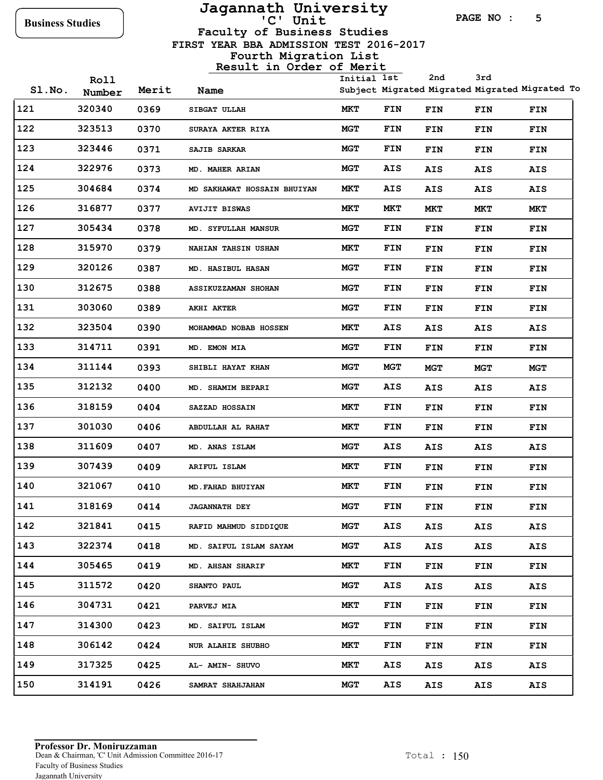# **Jagannath University**

**PAGE NO : 5**

 **FIRST YEAR BBA ADMISSION TEST 2016-2017 Faculty of Business Studies**

**Fourth Migration List**

|       | Roll   |       |                             | Initial 1st |            | 2nd        | 3rd        |                                                |
|-------|--------|-------|-----------------------------|-------------|------------|------------|------------|------------------------------------------------|
| SLNO. | Number | Merit | Name                        |             |            |            |            | Subject Migrated Migrated Migrated Migrated To |
| 121   | 320340 | 0369  | SIBGAT ULLAH                | MKT         | FIN        | FIN        | FIN        | FIN                                            |
| 122   | 323513 | 0370  | <b>SURAYA AKTER RIYA</b>    | <b>MGT</b>  | FIN        | FIN        | FIN        | FIN                                            |
| 123   | 323446 | 0371  | <b>SAJIB SARKAR</b>         | <b>MGT</b>  | FIN        | FIN        | <b>FIN</b> | FIN                                            |
| 124   | 322976 | 0373  | MD. MAHER ARIAN             | <b>MGT</b>  | AIS        | AIS        | AIS        | AIS                                            |
| 125   | 304684 | 0374  | MD SAKHAWAT HOSSAIN BHUIYAN | MКТ         | <b>AIS</b> | AIS        | AIS        | AIS                                            |
| 126   | 316877 | 0377  | <b>AVIJIT BISWAS</b>        | MКТ         | MКТ        | MKT        | MКТ        | MКТ                                            |
| 127   | 305434 | 0378  | MD. SYFULLAH MANSUR         | <b>MGT</b>  | FIN        | FIN        | <b>FIN</b> | FIN                                            |
| 128   | 315970 | 0379  | <b>NAHIAN TAHSIN USHAN</b>  | MКТ         | FIN        | FIN        | <b>FIN</b> | FIN                                            |
| 129   | 320126 | 0387  | <b>MD. HASIBUL HASAN</b>    | <b>MGT</b>  | <b>FIN</b> | FIN        | FIN        | FIN                                            |
| 130   | 312675 | 0388  | ASSIKUZZAMAN SHOHAN         | <b>MGT</b>  | FIN        | FIN        | <b>FIN</b> | FIN                                            |
| 131   | 303060 | 0389  | AKHI AKTER                  | <b>MGT</b>  | FIN        | FIN        | <b>FIN</b> | FIN                                            |
| 132   | 323504 | 0390  | MOHAMMAD NOBAB HOSSEN       | MКТ         | <b>AIS</b> | AIS        | AIS        | AIS                                            |
| 133   | 314711 | 0391  | MD. EMON MIA                | <b>MGT</b>  | <b>FIN</b> | FIN        | <b>FIN</b> | FIN                                            |
| 134   | 311144 | 0393  | SHIBLI HAYAT KHAN           | <b>MGT</b>  | MGT        | <b>MGT</b> | MGT        | <b>MGT</b>                                     |
| 135   | 312132 | 0400  | <b>MD. SHAMIM BEPARI</b>    | <b>MGT</b>  | <b>AIS</b> | AIS        | <b>AIS</b> | AIS                                            |
| 136   | 318159 | 0404  | SAZZAD HOSSAIN              | <b>MKT</b>  | FIN        | FIN        | FIN        | FIN                                            |
| 137   | 301030 | 0406  | ABDULLAH AL RAHAT           | <b>MKT</b>  | FIN        | FIN        | <b>FIN</b> | FIN                                            |
| 138   | 311609 | 0407  | MD. ANAS ISLAM              | <b>MGT</b>  | <b>AIS</b> | AIS        | AIS        | AIS                                            |
| 139   | 307439 | 0409  | ARIFUL ISLAM                | MКТ         | FIN        | FIN        | FIN        | FIN                                            |
| 140   | 321067 | 0410  | MD. FAHAD BHUIYAN           | MКТ         | FIN        | FIN        | FIN        | FIN                                            |
| 141   | 318169 | 0414  | <b>JAGANNATH DEY</b>        | MGT         | FIN        | <b>FIN</b> | FIN        | FIN                                            |
| 142   | 321841 | 0415  | RAFID MAHMUD SIDDIQUE       | <b>MGT</b>  | AIS        | AIS        | AIS        | AIS                                            |
| 143   | 322374 | 0418  | MD. SAIFUL ISLAM SAYAM      | MGT         | <b>AIS</b> | AIS        | AIS        | AIS                                            |
| 144   | 305465 | 0419  | MD. AHSAN SHARIF            | MКТ         | FIN        | FIN        | FIN        | FIN                                            |
| 145   | 311572 | 0420  | <b>SHANTO PAUL</b>          | <b>MGT</b>  | AIS        | AIS        | AIS        | AIS                                            |
| 146   | 304731 | 0421  | <b>PARVEJ MIA</b>           | MKT         | FIN        | FIN        | FIN        | <b>FIN</b>                                     |
| 147   | 314300 | 0423  | MD. SAIFUL ISLAM            | <b>MGT</b>  | FIN        | FIN        | FIN        | FIN                                            |
| 148   | 306142 | 0424  | NUR ALAHIE SHUBHO           | MКТ         | FIN        | FIN        | <b>FIN</b> | FIN                                            |
| 149   | 317325 | 0425  | AL- AMIN- SHUVO             | MKT         | <b>AIS</b> | AIS        | AIS        | AIS                                            |
| 150   | 314191 | 0426  | SAMRAT SHAHJAHAN            | MGT         | <b>AIS</b> | AIS        | AIS        | AIS                                            |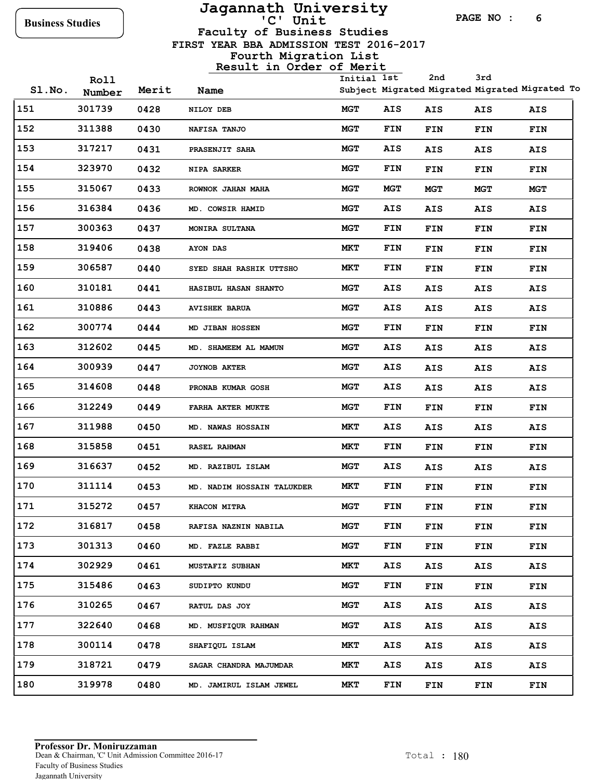### **Jagannath University Business Studies 'C' Unit**

**PAGE NO : 6**

 **FIRST YEAR BBA ADMISSION TEST 2016-2017 Faculty of Business Studies**

### **Fourth Migration List**

| SLNO. | Roll<br>Number | Merit | Name                       | Initial 1st |            | 2nd        | 3rd        | Subject Migrated Migrated Migrated Migrated To |
|-------|----------------|-------|----------------------------|-------------|------------|------------|------------|------------------------------------------------|
| 151   | 301739         | 0428  | NILOY DEB                  | MGT         | AIS        | AIS        | AIS        | AIS                                            |
| 152   | 311388         | 0430  | NAFISA TANJO               | MGT         | FIN        | <b>FIN</b> | FIN        | FIN                                            |
| 153   | 317217         | 0431  | PRASENJIT SAHA             | <b>MGT</b>  | AIS        | AIS        | AIS        | AIS                                            |
| 154   | 323970         | 0432  | NIPA SARKER                | <b>MGT</b>  | FIN        | FIN        | FIN        | FIN                                            |
| 155   | 315067         | 0433  | ROWNOK JAHAN MAHA          | MGT         | MGT        | <b>MGT</b> | MGT        | <b>MGT</b>                                     |
| 156   | 316384         | 0436  | MD. COWSIR HAMID           | <b>MGT</b>  | <b>AIS</b> | AIS        | AIS        | AIS                                            |
| 157   | 300363         | 0437  | MONIRA SULTANA             | <b>MGT</b>  | FIN        | FIN        | <b>FIN</b> | FIN                                            |
| 158   | 319406         | 0438  | AYON DAS                   | MKT         | FIN        | <b>FIN</b> | FIN        | FIN                                            |
| 159   | 306587         | 0440  | SYED SHAH RASHIK UTTSHO    | MКТ         | <b>FIN</b> | FIN        | FIN        | FIN                                            |
| 160   | 310181         | 0441  | HASIBUL HASAN SHANTO       | <b>MGT</b>  | AIS        | AIS        | AIS        | AIS                                            |
| 161   | 310886         | 0443  | <b>AVISHEK BARUA</b>       | <b>MGT</b>  | AIS        | AIS        | <b>AIS</b> | AIS                                            |
| 162   | 300774         | 0444  | MD JIBAN HOSSEN            | MGT         | FIN        | FIN        | FIN        | FIN                                            |
| 163   | 312602         | 0445  | MD. SHAMEEM AL MAMUN       | MGT         | AIS        | AIS        | AIS        | AIS                                            |
| 164   | 300939         | 0447  | <b>JOYNOB AKTER</b>        | <b>MGT</b>  | AIS        | AIS        | <b>AIS</b> | AIS                                            |
| 165   | 314608         | 0448  | PRONAB KUMAR GOSH          | MGT         | AIS        | AIS        | AIS        | AIS                                            |
| 166   | 312249         | 0449  | FARHA AKTER MUKTE          | <b>MGT</b>  | FIN        | FIN        | FIN        | FIN                                            |
| 167   | 311988         | 0450  | MD. NAWAS HOSSAIN          | MКТ         | AIS        | AIS        | AIS        | AIS                                            |
| 168   | 315858         | 0451  | <b>RASEL RAHMAN</b>        | MКТ         | <b>FIN</b> | <b>FIN</b> | FIN        | FIN                                            |
| 169   | 316637         | 0452  | MD. RAZIBUL ISLAM          | <b>MGT</b>  | AIS        | AIS        | AIS        | AIS                                            |
| 170   | 311114         | 0453  | MD. NADIM HOSSAIN TALUKDER | MKT         | FIN        | FIN        | FIN        | FIN                                            |
| 171   | 315272         | 0457  | KHACON MITRA               | <b>MGT</b>  | FIN        | <b>FIN</b> | FIN        | FIN                                            |
| 172   | 316817         | 0458  | RAFISA NAZNIN NABILA       | MGT         | FIN        | FIN        | <b>FIN</b> | FIN                                            |
| 173   | 301313         | 0460  | MD. FAZLE RABBI            | <b>MGT</b>  | <b>FIN</b> | FIN        | FIN        | FIN                                            |
| 174   | 302929         | 0461  | <b>MUSTAFIZ SUBHAN</b>     | MКТ         | AIS        | AIS        | AIS        | AIS                                            |
| 175   | 315486         | 0463  | SUDIPTO KUNDU              | <b>MGT</b>  | <b>FIN</b> | FIN        | <b>FIN</b> | FIN                                            |
| 176   | 310265         | 0467  | <b>RATUL DAS JOY</b>       | <b>MGT</b>  | AIS        | AIS        | AIS        | AIS                                            |
| 177   | 322640         | 0468  | MD. MUSFIQUR RAHMAN        | <b>MGT</b>  | AIS        | AIS        | AIS        | AIS                                            |
| 178   | 300114         | 0478  | SHAFIQUL ISLAM             | MКТ         | AIS        | AIS        | AIS        | AIS                                            |
| 179   | 318721         | 0479  | SAGAR CHANDRA MAJUMDAR     | MКТ         | <b>AIS</b> | AIS        | AIS        | AIS                                            |
| 180   | 319978         | 0480  | MD. JAMIRUL ISLAM JEWEL    | MКТ         | <b>FIN</b> | FIN        | <b>FIN</b> | FIN                                            |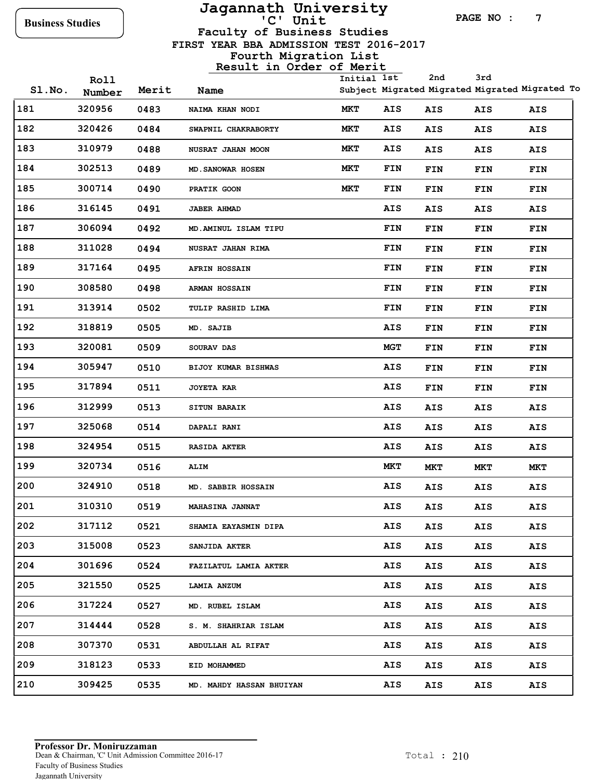# **Jagannath University**

**PAGE NO : 7**

**Faculty of Business Studies**

 **FIRST YEAR BBA ADMISSION TEST 2016-2017**

|        |                |       | 100016 111 01001 01 MCIIC   | Initial 1st |            | 2nd        | 3rd        |                                                |
|--------|----------------|-------|-----------------------------|-------------|------------|------------|------------|------------------------------------------------|
| SI.No. | Roll<br>Number | Merit | Name                        |             |            |            |            | Subject Migrated Migrated Migrated Migrated To |
| 181    | 320956         | 0483  | NAIMA KHAN NODI             | MKT         | AIS        | AIS        | AIS        | AIS                                            |
| 182    | 320426         | 0484  | SWAPNIL CHAKRABORTY         | MKT         | AIS        | AIS        | AIS        | AIS                                            |
| 183    | 310979         | 0488  | NUSRAT JAHAN MOON           | MKT         | AIS        | AIS        | AIS        | AIS                                            |
| 184    | 302513         | 0489  | MD. SANOWAR HOSEN           | MKT         | <b>FIN</b> | FIN        | FIN        | FIN                                            |
| 185    | 300714         | 0490  | PRATIK GOON                 | MKT         | <b>FIN</b> | FIN        | FIN        | FIN                                            |
| 186    | 316145         | 0491  | <b>JABER AHMAD</b>          |             | AIS        | AIS        | <b>AIS</b> | AIS                                            |
| 187    | 306094         | 0492  | MD.AMINUL ISLAM TIPU        |             | FIN        | FIN        | FIN        | FIN                                            |
| 188    | 311028         | 0494  | NUSRAT JAHAN RIMA           |             | FIN        | FIN        | FIN        | <b>FIN</b>                                     |
| 189    | 317164         | 0495  | <b>AFRIN HOSSAIN</b>        |             | FIN        | FIN        | FIN        | FIN                                            |
| 190    | 308580         | 0498  | <b>ARMAN HOSSAIN</b>        |             | <b>FIN</b> | FIN        | FIN        | FIN                                            |
| 191    | 313914         | 0502  | TULIP RASHID LIMA           |             | FIN        | FIN        | FIN        | <b>FIN</b>                                     |
| 192    | 318819         | 0505  | MD. SAJIB                   |             | AIS        | FIN        | FIN        | FIN                                            |
| 193    | 320081         | 0509  | SOURAV DAS                  |             | <b>MGT</b> | FIN        | FIN        | FIN                                            |
| 194    | 305947         | 0510  | BIJOY KUMAR BISHWAS         |             | AIS        | FIN        | FIN        | FIN                                            |
| 195    | 317894         | 0511  | <b>JOYETA KAR</b>           |             | AIS        | FIN        | FIN        | FIN                                            |
| 196    | 312999         | 0513  | <b>SITUN BARAIK</b>         |             | <b>AIS</b> | AIS        | AIS        | AIS                                            |
| 197    | 325068         | 0514  | DAPALI RANI                 |             | <b>AIS</b> | AIS        | <b>AIS</b> | AIS                                            |
| 198    | 324954         | 0515  | <b>RASIDA AKTER</b>         |             | AIS        | AIS        | <b>AIS</b> | <b>AIS</b>                                     |
| 199    | 320734         | 0516  | ALIM                        |             | <b>MKT</b> | <b>MKT</b> | MКТ        | MKT                                            |
| 200    | 324910         | 0518  | MD. SABBIR HOSSAIN          |             | <b>AIS</b> | AIS        | <b>AIS</b> | AIS                                            |
| 201    | 310310         | 0519  | <b>MAHASINA JANNAT</b>      |             | <b>AIS</b> | <b>AIS</b> | <b>AIS</b> | <b>AIS</b>                                     |
| 202    | 317112         | 0521  | <b>SHAMIA EAYASMIN DIPA</b> |             | AIS        | AIS        | <b>AIS</b> | AIS                                            |
| 203    | 315008         | 0523  | SANJIDA AKTER               |             | AIS        | AIS        | AIS        | AIS                                            |
| 204    | 301696         | 0524  | FAZILATUL LAMIA AKTER       |             | AIS        | AIS        | AIS        | AIS                                            |
| 205    | 321550         | 0525  | LAMIA ANZUM                 |             | AIS        | AIS        | AIS        | AIS                                            |
| 206    | 317224         | 0527  | MD. RUBEL ISLAM             |             | AIS        | AIS        | AIS        | AIS                                            |
| 207    | 314444         | 0528  | S. M. SHAHRIAR ISLAM        |             | AIS        | <b>AIS</b> | AIS        | AIS                                            |
| 208    | 307370         | 0531  | ABDULLAH AL RIFAT           |             | AIS        | AIS        | AIS        | AIS                                            |
| 209    | 318123         | 0533  | EID MOHAMMED                |             | AIS        | AIS        | AIS        | AIS                                            |
| 210    | 309425         | 0535  | MD. MAHDY HASSAN BHUIYAN    |             | <b>AIS</b> | AIS        | <b>AIS</b> | AIS                                            |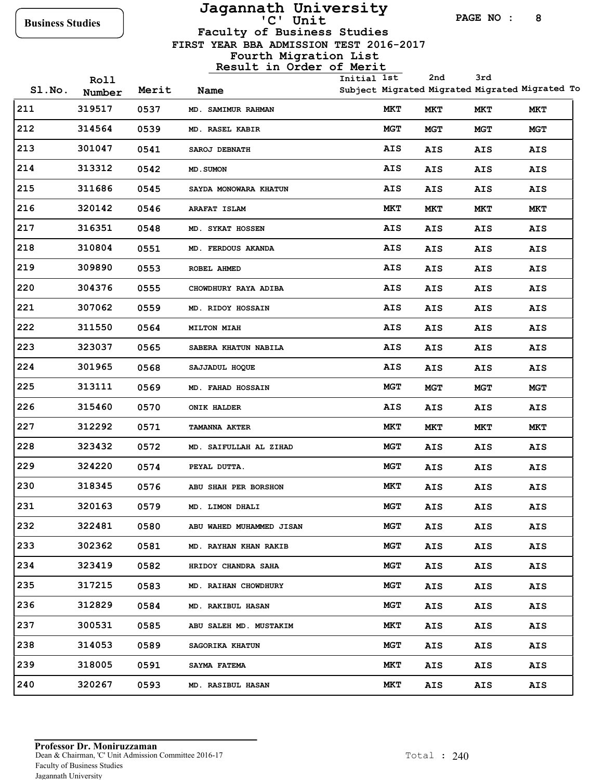## **Jagannath University**

**PAGE NO : 8**

**Faculty of Business Studies**

 **FIRST YEAR BBA ADMISSION TEST 2016-2017**

|       | Roll   |       |                              | Initial 1st |            | 2nd        | 3rd        |                                                |
|-------|--------|-------|------------------------------|-------------|------------|------------|------------|------------------------------------------------|
| SLNO. | Number | Merit | Name                         |             |            |            |            | Subject Migrated Migrated Migrated Migrated To |
| 211   | 319517 | 0537  | MD. SAMIMUR RAHMAN           |             | MKT        | MKT        | MKT        | MKT                                            |
| 212   | 314564 | 0539  | MD. RASEL KABIR              |             | <b>MGT</b> | <b>MGT</b> | MGT        | <b>MGT</b>                                     |
| 213   | 301047 | 0541  | SAROJ DEBNATH                |             | <b>AIS</b> | AIS        | <b>AIS</b> | AIS                                            |
| 214   | 313312 | 0542  | MD. SUMON                    |             | AIS        | AIS        | <b>AIS</b> | AIS                                            |
| 215   | 311686 | 0545  | <b>SAYDA MONOWARA KHATUN</b> |             | AIS        | AIS        | <b>AIS</b> | AIS                                            |
| 216   | 320142 | 0546  | <b>ARAFAT ISLAM</b>          |             | MКТ        | MKT        | MКТ        | MКТ                                            |
| 217   | 316351 | 0548  | MD. SYKAT HOSSEN             |             | AIS        | AIS        | <b>AIS</b> | AIS                                            |
| 218   | 310804 | 0551  | MD. FERDOUS AKANDA           |             | AIS        | AIS        | <b>AIS</b> | AIS                                            |
| 219   | 309890 | 0553  | ROBEL AHMED                  |             | AIS        | AIS        | <b>AIS</b> | AIS                                            |
| 220   | 304376 | 0555  | CHOWDHURY RAYA ADIBA         |             | AIS        | AIS        | <b>AIS</b> | AIS                                            |
| 221   | 307062 | 0559  | MD. RIDOY HOSSAIN            |             | <b>AIS</b> | AIS        | AIS        | AIS                                            |
| 222   | 311550 | 0564  | <b>MILTON MIAH</b>           |             | <b>AIS</b> | AIS        | <b>AIS</b> | AIS                                            |
| 223   | 323037 | 0565  | <b>SABERA KHATUN NABILA</b>  |             | AIS        | <b>AIS</b> | <b>AIS</b> | AIS                                            |
| 224   | 301965 | 0568  | SAJJADUL HOQUE               |             | AIS        | AIS        | <b>AIS</b> | AIS                                            |
| 225   | 313111 | 0569  | MD. FAHAD HOSSAIN            |             | <b>MGT</b> | MGT        | <b>MGT</b> | MGT                                            |
| 226   | 315460 | 0570  | <b>ONIK HALDER</b>           |             | <b>AIS</b> | AIS        | <b>AIS</b> | AIS                                            |
| 227   | 312292 | 0571  | <b>TAMANNA AKTER</b>         |             | MКТ        | MКТ        | MКТ        | MКТ                                            |
| 228   | 323432 | 0572  | MD. SAIFULLAH AL ZIHAD       |             | MGT        | AIS        | <b>AIS</b> | AIS                                            |
| 229   | 324220 | 0574  | PEYAL DUTTA.                 |             | MGT        | AIS        | <b>AIS</b> | AIS                                            |
| 230   | 318345 | 0576  | ABU SHAH PER BORSHON         |             | MKT        | AIS        | <b>AIS</b> | AIS                                            |
| 231   | 320163 | 0579  | MD. LIMON DHALI              |             | <b>MGT</b> | AIS        | AIS        | AIS                                            |
| 232   | 322481 | 0580  | ABU WAHED MUHAMMED JISAN     |             | MGT        | AIS        | <b>AIS</b> | AIS                                            |
| 233   | 302362 | 0581  | MD. RAYHAN KHAN RAKIB        |             | MGT        | AIS        | AIS        | AIS                                            |
| 234   | 323419 | 0582  | HRIDOY CHANDRA SAHA          |             | <b>MGT</b> | AIS        | AIS        | AIS                                            |
| 235   | 317215 | 0583  | MD. RAIHAN CHOWDHURY         |             | MGT        | AIS        | <b>AIS</b> | AIS                                            |
| 236   | 312829 | 0584  | <b>MD. RAKIBUL HASAN</b>     |             | <b>MGT</b> | AIS        | <b>AIS</b> | AIS                                            |
| 237   | 300531 | 0585  | ABU SALEH MD. MUSTAKIM       |             | MKT        | AIS        | AIS        | AIS                                            |
| 238   | 314053 | 0589  | <b>SAGORIKA KHATUN</b>       |             | <b>MGT</b> | AIS        | <b>AIS</b> | AIS                                            |
| 239   | 318005 | 0591  | <b>SAYMA FATEMA</b>          |             | <b>MKT</b> | AIS        | <b>AIS</b> | AIS                                            |
| 240   | 320267 | 0593  | <b>MD. RASIBUL HASAN</b>     |             | MKT        | AIS        | AIS        | AIS                                            |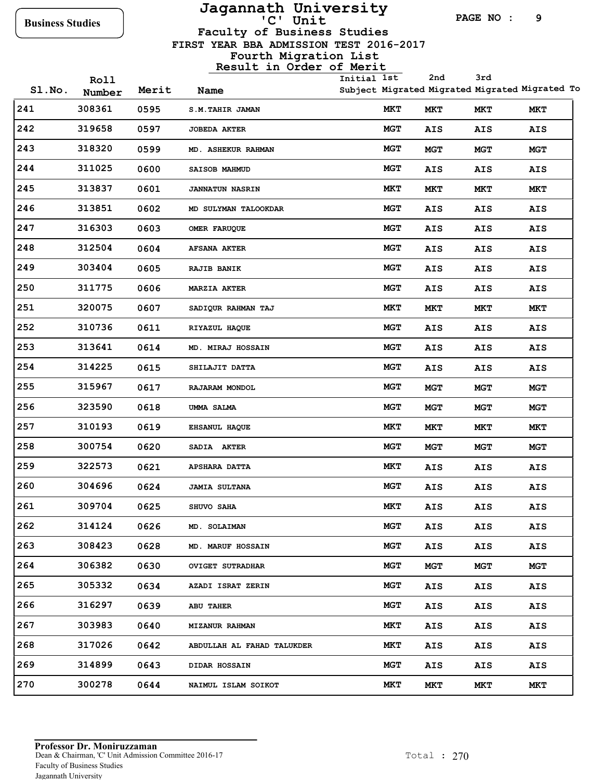# **Jagannath University**

**PAGE NO : 9**

**Faculty of Business Studies**

 **FIRST YEAR BBA ADMISSION TEST 2016-2017**

|       | Roll   |       |                            | Initial 1st |            | 2nd        | 3rd        |                                                |
|-------|--------|-------|----------------------------|-------------|------------|------------|------------|------------------------------------------------|
| SLNO. | Number | Merit | Name                       |             |            |            |            | Subject Migrated Migrated Migrated Migrated To |
| 241   | 308361 | 0595  | <b>S.M.TAHIR JAMAN</b>     |             | MКТ        | MKT        | MKT        | MKT                                            |
| 242   | 319658 | 0597  | <b>JOBEDA AKTER</b>        |             | MGT        | AIS        | AIS        | AIS                                            |
| 243   | 318320 | 0599  | MD. ASHEKUR RAHMAN         |             | MGT        | MGT        | MGT        | MGT                                            |
| 244   | 311025 | 0600  | SAISOB MAHMUD              |             | <b>MGT</b> | AIS        | AIS        | AIS                                            |
| 245   | 313837 | 0601  | <b>JANNATUN NASRIN</b>     |             | MKT        | MKT        | MКТ        | MKT                                            |
| 246   | 313851 | 0602  | MD SULYMAN TALOOKDAR       |             | MGT        | AIS        | <b>AIS</b> | AIS                                            |
| 247   | 316303 | 0603  | OMER FARUQUE               |             | MGT        | AIS        | <b>AIS</b> | AIS                                            |
| 248   | 312504 | 0604  | <b>AFSANA AKTER</b>        |             | MGT        | AIS        | AIS        | AIS                                            |
| 249   | 303404 | 0605  | <b>RAJIB BANIK</b>         |             | MGT        | AIS        | AIS        | AIS                                            |
| 250   | 311775 | 0606  | <b>MARZIA AKTER</b>        |             | MGT        | AIS        | <b>AIS</b> | AIS                                            |
| 251   | 320075 | 0607  | SADIQUR RAHMAN TAJ         |             | MКТ        | MKT        | MКТ        | MKT                                            |
| 252   | 310736 | 0611  | RIYAZUL HAQUE              |             | MGT        | AIS        | <b>AIS</b> | AIS                                            |
| 253   | 313641 | 0614  | MD. MIRAJ HOSSAIN          |             | MGT        | AIS        | <b>AIS</b> | AIS                                            |
| 254   | 314225 | 0615  | SHILAJIT DATTA             |             | MGT        | AIS        | <b>AIS</b> | AIS                                            |
| 255   | 315967 | 0617  | RAJARAM MONDOL             |             | MGT        | MGT        | MGT        | <b>MGT</b>                                     |
| 256   | 323590 | 0618  | UMMA SALMA                 |             | MGT        | MGT        | MGT        | MGT                                            |
| 257   | 310193 | 0619  | EHSANUL HAQUE              |             | MKT        | MKT        | MКТ        | MKT                                            |
| 258   | 300754 | 0620  | <b>SADIA AKTER</b>         |             | <b>MGT</b> | MGT        | MGT        | MGT                                            |
| 259   | 322573 | 0621  | <b>APSHARA DATTA</b>       |             | MKT        | AIS        | AIS        | AIS                                            |
| 260   | 304696 | 0624  | <b>JAMIA SULTANA</b>       |             | MGT        | AIS        | <b>AIS</b> | AIS                                            |
| 261   | 309704 | 0625  | <b>SHUVO SAHA</b>          |             | <b>MKT</b> | AIS        | AIS        | AIS                                            |
| 262   | 314124 | 0626  | MD. SOLAIMAN               |             | <b>MGT</b> | AIS        | <b>AIS</b> | AIS                                            |
| 263   | 308423 | 0628  | MD. MARUF HOSSAIN          |             | <b>MGT</b> | AIS        | <b>AIS</b> | AIS                                            |
| 264   | 306382 | 0630  | <b>OVIGET SUTRADHAR</b>    |             | MGT        | <b>MGT</b> | MGT        | <b>MGT</b>                                     |
| 265   | 305332 | 0634  | AZADI ISRAT ZERIN          |             | <b>MGT</b> | AIS        | <b>AIS</b> | AIS                                            |
| 266   | 316297 | 0639  | <b>ABU TAHER</b>           |             | MGT        | AIS        | <b>AIS</b> | AIS                                            |
| 267   | 303983 | 0640  | <b>MIZANUR RAHMAN</b>      |             | MKT        | AIS        | AIS        | AIS                                            |
| 268   | 317026 | 0642  | ABDULLAH AL FAHAD TALUKDER |             | MKT        | AIS        | <b>AIS</b> | AIS                                            |
| 269   | 314899 | 0643  | DIDAR HOSSAIN              |             | MGT        | AIS        | <b>AIS</b> | AIS                                            |
| 270   | 300278 | 0644  | NAIMUL ISLAM SOIKOT        |             | MKT        | MKT        | MКТ        | MKT                                            |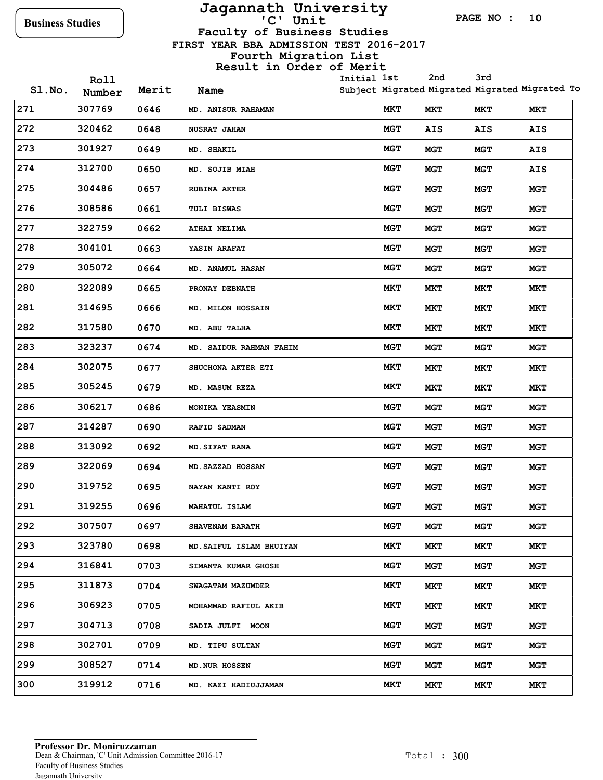## **Jagannath University**

**PAGE NO : 10**

**Faculty of Business Studies**

 **FIRST YEAR BBA ADMISSION TEST 2016-2017**

|       | Roll   |       |                          | Initial 1st |            | 2nd        | 3rd                                            |            |
|-------|--------|-------|--------------------------|-------------|------------|------------|------------------------------------------------|------------|
| SLNO. | Number | Merit | Name                     |             |            |            | Subject Migrated Migrated Migrated Migrated To |            |
| 271   | 307769 | 0646  | MD. ANISUR RAHAMAN       |             | MKT        | MKT        | MКТ                                            | MKT        |
| 272   | 320462 | 0648  | <b>NUSRAT JAHAN</b>      |             | MGT        | <b>AIS</b> | AIS                                            | AIS        |
| 273   | 301927 | 0649  | MD. SHAKIL               |             | <b>MGT</b> | MGT        | <b>MGT</b>                                     | AIS        |
| 274   | 312700 | 0650  | MD. SOJIB MIAH           |             | <b>MGT</b> | <b>MGT</b> | <b>MGT</b>                                     | AIS        |
| 275   | 304486 | 0657  | <b>RUBINA AKTER</b>      |             | <b>MGT</b> | <b>MGT</b> | <b>MGT</b>                                     | <b>MGT</b> |
| 276   | 308586 | 0661  | <b>TULI BISWAS</b>       |             | <b>MGT</b> | <b>MGT</b> | <b>MGT</b>                                     | <b>MGT</b> |
| 277   | 322759 | 0662  | <b>ATHAI NELIMA</b>      |             | <b>MGT</b> | <b>MGT</b> | <b>MGT</b>                                     | MGT        |
| 278   | 304101 | 0663  | <b>YASIN ARAFAT</b>      |             | MGT        | <b>MGT</b> | MGT                                            | MGT        |
| 279   | 305072 | 0664  | <b>MD. ANAMUL HASAN</b>  |             | <b>MGT</b> | <b>MGT</b> | <b>MGT</b>                                     | MGT        |
| 280   | 322089 | 0665  | PRONAY DEBNATH           |             | MКТ        | MКТ        | MКТ                                            | MКТ        |
| 281   | 314695 | 0666  | MD. MILON HOSSAIN        |             | MКТ        | MКТ        | MКТ                                            | MKT        |
| 282   | 317580 | 0670  | MD. ABU TALHA            |             | MКТ        | MКТ        | <b>MKT</b>                                     | MKT        |
| 283   | 323237 | 0674  | MD. SAIDUR RAHMAN FAHIM  |             | <b>MGT</b> | MGT        | <b>MGT</b>                                     | <b>MGT</b> |
| 284   | 302075 | 0677  | SHUCHONA AKTER ETI       |             | MКТ        | MКТ        | MКТ                                            | MKT        |
| 285   | 305245 | 0679  | <b>MD. MASUM REZA</b>    |             | MКТ        | MКТ        | MКТ                                            | MКТ        |
| 286   | 306217 | 0686  | MONIKA YEASMIN           |             | <b>MGT</b> | MGT        | <b>MGT</b>                                     | <b>MGT</b> |
| 287   | 314287 | 0690  | <b>RAFID SADMAN</b>      |             | MGT        | <b>MGT</b> | <b>MGT</b>                                     | MGT        |
| 288   | 313092 | 0692  | <b>MD.SIFAT RANA</b>     |             | <b>MGT</b> | <b>MGT</b> | <b>MGT</b>                                     | MGT        |
| 289   | 322069 | 0694  | MD. SAZZAD HOSSAN        |             | MGT        | <b>MGT</b> | <b>MGT</b>                                     | <b>MGT</b> |
| 290   | 319752 | 0695  | NAYAN KANTI ROY          |             | <b>MGT</b> | <b>MGT</b> | <b>MGT</b>                                     | <b>MGT</b> |
| 291   | 319255 | 0696  | MAHATUL ISLAM            |             | <b>MGT</b> | <b>MGT</b> | <b>MGT</b>                                     | <b>MGT</b> |
| 292   | 307507 | 0697  | <b>SHAVENAM BARATH</b>   |             | MGT        | MGT        | MGT                                            | MGT        |
| 293   | 323780 | 0698  | MD. SAIFUL ISLAM BHUIYAN |             | <b>MKT</b> | MKT        | MКТ                                            | MKT        |
| 294   | 316841 | 0703  | SIMANTA KUMAR GHOSH      |             | <b>MGT</b> | MGT        | <b>MGT</b>                                     | <b>MGT</b> |
| 295   | 311873 | 0704  | <b>SWAGATAM MAZUMDER</b> |             | MКТ        | MKT        | MКТ                                            | MКТ        |
| 296   | 306923 | 0705  | MOHAMMAD RAFIUL AKIB     |             | MКТ        | MКТ        | MКТ                                            | <b>MKT</b> |
| 297   | 304713 | 0708  | SADIA JULFI MOON         |             | <b>MGT</b> | MGT        | <b>MGT</b>                                     | <b>MGT</b> |
| 298   | 302701 | 0709  | MD. TIPU SULTAN          |             | MGT        | MGT        | <b>MGT</b>                                     | <b>MGT</b> |
| 299   | 308527 | 0714  | MD. NUR HOSSEN           |             | <b>MGT</b> | MGT        | MGT                                            | <b>MGT</b> |
| 300   | 319912 | 0716  | MD. KAZI HADIUJJAMAN     |             | MКТ        | MKT        | MКТ                                            | MКТ        |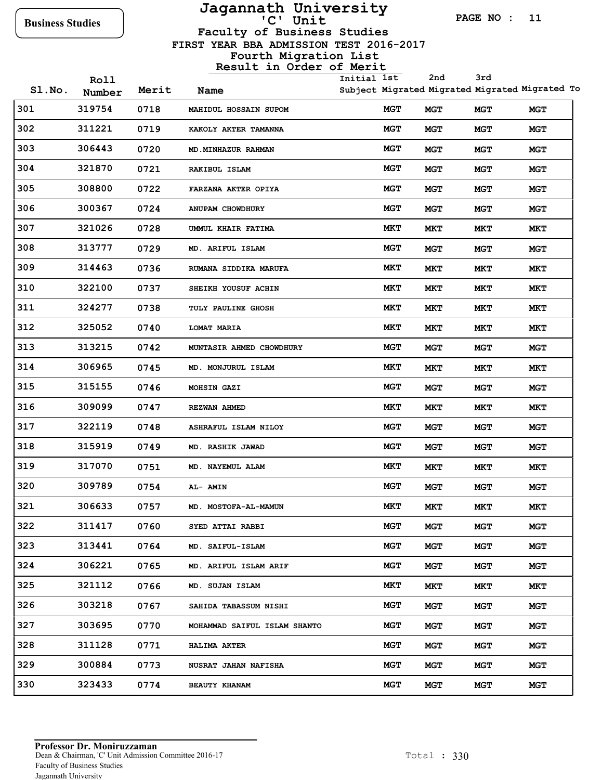## **Jagannath University**

**PAGE NO : 11**

**3rd**

**2nd**

**Faculty of Business Studies**

 **FIRST YEAR BBA ADMISSION TEST 2016-2017**

| SLNO. | Roll<br>Number | Merit | Name                         | Initial 1st |            | 2nd        | 3rd        | Subject Migrated Migrated Migrated Migrated To |
|-------|----------------|-------|------------------------------|-------------|------------|------------|------------|------------------------------------------------|
| 301   | 319754         | 0718  | MAHIDUL HOSSAIN SUPOM        |             | <b>MGT</b> | MGT        | <b>MGT</b> | MGT                                            |
| 302   | 311221         | 0719  | KAKOLY AKTER TAMANNA         |             | <b>MGT</b> | <b>MGT</b> | <b>MGT</b> | <b>MGT</b>                                     |
| 303   | 306443         | 0720  | MD. MINHAZUR RAHMAN          |             | <b>MGT</b> | MGT        | <b>MGT</b> | MGT                                            |
| 304   | 321870         | 0721  | RAKIBUL ISLAM                |             | <b>MGT</b> | <b>MGT</b> | <b>MGT</b> | MGT                                            |
| 305   | 308800         | 0722  | FARZANA AKTER OPIYA          |             | <b>MGT</b> | <b>MGT</b> | <b>MGT</b> | <b>MGT</b>                                     |
| 306   | 300367         | 0724  | ANUPAM CHOWDHURY             |             | <b>MGT</b> | MGT        | <b>MGT</b> | <b>MGT</b>                                     |
| 307   | 321026         | 0728  | UMMUL KHAIR FATIMA           |             | MКТ        | MКТ        | MКТ        | MKT                                            |
| 308   | 313777         | 0729  | MD. ARIFUL ISLAM             |             | <b>MGT</b> | MGT        | <b>MGT</b> | <b>MGT</b>                                     |
| 309   | 314463         | 0736  | RUMANA SIDDIKA MARUFA        |             | MКТ        | MКТ        | MКТ        | MKT                                            |
| 310   | 322100         | 0737  | SHEIKH YOUSUF ACHIN          |             | MКТ        | MКТ        | MKT        | MKT                                            |
| 311   | 324277         | 0738  | <b>TULY PAULINE GHOSH</b>    |             | MКТ        | MКТ        | MКТ        | MKT                                            |
| 312   | 325052         | 0740  | <b>LOMAT MARIA</b>           |             | MКТ        | <b>MKT</b> | MKT        | MKT                                            |
| 313   | 313215         | 0742  | MUNTASIR AHMED CHOWDHURY     |             | <b>MGT</b> | <b>MGT</b> | <b>MGT</b> | MGT                                            |
| 314   | 306965         | 0745  | MD. MONJURUL ISLAM           |             | MКТ        | MКТ        | MКТ        | MКТ                                            |
| 315   | 315155         | 0746  | <b>MOHSIN GAZI</b>           |             | <b>MGT</b> | MGT        | <b>MGT</b> | <b>MGT</b>                                     |
| 316   | 309099         | 0747  | <b>REZWAN AHMED</b>          |             | <b>MKT</b> | MКТ        | MКТ        | MКТ                                            |
| 317   | 322119         | 0748  | ASHRAFUL ISLAM NILOY         |             | <b>MGT</b> | MGT        | <b>MGT</b> | MGT                                            |
| 318   | 315919         | 0749  | MD. RASHIK JAWAD             |             | <b>MGT</b> | MGT        | <b>MGT</b> | <b>MGT</b>                                     |
| 319   | 317070         | 0751  | MD. NAYEMUL ALAM             |             | MКТ        | MКТ        | MКТ        | MKT                                            |
| 320   | 309789         | 0754  | <b>AL- AMIN</b>              |             | <b>MGT</b> | MGT        | <b>MGT</b> | MGT                                            |
| 321   | 306633         | 0757  | MD. MOSTOFA-AL-MAMUN         |             | MКТ        | MКТ        | <b>MKT</b> | MКТ                                            |
| 322   | 311417         | 0760  | SYED ATTAI RABBI             |             | MGT        | <b>MGT</b> | <b>MGT</b> | MGT                                            |
| 323   | 313441         | 0764  | MD. SAIFUL-ISLAM             |             | <b>MGT</b> | <b>MGT</b> | <b>MGT</b> | <b>MGT</b>                                     |
| 324   | 306221         | 0765  | MD. ARIFUL ISLAM ARIF        |             | <b>MGT</b> | <b>MGT</b> | MGT        | <b>MGT</b>                                     |
| 325   | 321112         | 0766  | MD. SUJAN ISLAM              |             | MКТ        | MKT        | MКТ        | MKT                                            |
| 326   | 303218         | 0767  | <b>SAHIDA TABASSUM NISHI</b> |             | <b>MGT</b> | <b>MGT</b> | MGT        | <b>MGT</b>                                     |
| 327   | 303695         | 0770  | MOHAMMAD SAIFUL ISLAM SHANTO |             | <b>MGT</b> | <b>MGT</b> | <b>MGT</b> | <b>MGT</b>                                     |
| 328   | 311128         | 0771  | <b>HALIMA AKTER</b>          |             | <b>MGT</b> | MGT        | MGT        | MGT                                            |
| 329   | 300884         | 0773  | <b>NUSRAT JAHAN NAFISHA</b>  |             | <b>MGT</b> | <b>MGT</b> | MGT        | <b>MGT</b>                                     |
| 330   | 323433         | 0774  | <b>BEAUTY KHANAM</b>         |             | <b>MGT</b> | <b>MGT</b> | MGT        | <b>MGT</b>                                     |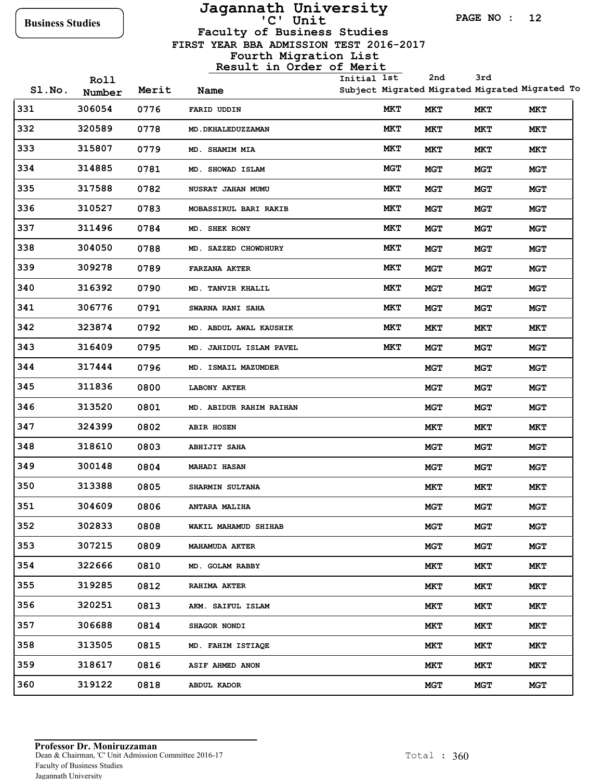**Roll**

# **Jagannath University**

**PAGE NO : 12**

**Faculty of Business Studies**

 **FIRST YEAR BBA ADMISSION TEST 2016-2017**

### **Fourth Migration List**

### **Result in Order of Merit**

**Initial 1st 2nd**

Subject Migrated Migrated Migrated Migrated To **Migrated 3rd Migrated**

| SI.No. | ᅑᇰᆂᆂ<br>Number | Merit | Name                           | Subject Migrated Migrated Migrated Migrated T |            |            |            |
|--------|----------------|-------|--------------------------------|-----------------------------------------------|------------|------------|------------|
| 331    | 306054         | 0776  | FARID UDDIN                    | MКТ                                           | MКТ        | MKT        | MKT        |
| 332    | 320589         | 0778  | MD. DKHALEDUZZAMAN             | MКТ                                           | MКТ        | MКТ        | MКТ        |
| 333    | 315807         | 0779  | <b>MD. SHAMIM MIA</b>          | MКТ                                           | MКТ        | MКТ        | MКТ        |
| 334    | 314885         | 0781  | MD. SHOWAD ISLAM               | <b>MGT</b>                                    | <b>MGT</b> | <b>MGT</b> | <b>MGT</b> |
| 335    | 317588         | 0782  | NUSRAT JAHAN MUMU              | MКТ                                           | <b>MGT</b> | MGT        | <b>MGT</b> |
| 336    | 310527         | 0783  | MOBASSIRUL BARI RAKIB          | MКТ                                           | <b>MGT</b> | <b>MGT</b> | <b>MGT</b> |
| 337    | 311496         | 0784  | MD. SHEK RONY                  | <b>MKT</b>                                    | <b>MGT</b> | MGT        | <b>MGT</b> |
| 338    | 304050         | 0788  | MD. SAZZED CHOWDHURY           | MКТ                                           | <b>MGT</b> | <b>MGT</b> | <b>MGT</b> |
| 339    | 309278         | 0789  | <b>FARZANA AKTER</b>           | MКТ                                           | <b>MGT</b> | <b>MGT</b> | <b>MGT</b> |
| 340    | 316392         | 0790  | MD. TANVIR KHALIL              | MKT                                           | <b>MGT</b> | <b>MGT</b> | <b>MGT</b> |
| 341    | 306776         | 0791  | SWARNA RANI SAHA               | MКТ                                           | <b>MGT</b> | <b>MGT</b> | <b>MGT</b> |
| 342    | 323874         | 0792  | MD. ABDUL AWAL KAUSHIK         | MКТ                                           | MКТ        | MKT        | MКТ        |
| 343    | 316409         | 0795  | MD. JAHIDUL ISLAM PAVEL        | MKT                                           | <b>MGT</b> | <b>MGT</b> | <b>MGT</b> |
| 344    | 317444         | 0796  | MD. ISMAIL MAZUMDER            |                                               | <b>MGT</b> | <b>MGT</b> | <b>MGT</b> |
| 345    | 311836         | 0800  | <b>LABONY AKTER</b>            |                                               | <b>MGT</b> | MGT        | <b>MGT</b> |
| 346    | 313520         | 0801  | <b>MD. ABIDUR RAHIM RAIHAN</b> |                                               | <b>MGT</b> | MGT        | <b>MGT</b> |
| 347    | 324399         | 0802  | <b>ABIR HOSEN</b>              |                                               | MКТ        | MКТ        | MКТ        |
| 348    | 318610         | 0803  | <b>ABHIJIT SAHA</b>            |                                               | <b>MGT</b> | <b>MGT</b> | <b>MGT</b> |
| 349    | 300148         | 0804  | <b>MAHADI HASAN</b>            |                                               | <b>MGT</b> | MGT        | <b>MGT</b> |
| 350    | 313388         | 0805  | SHARMIN SULTANA                |                                               | MКТ        | MКТ        | MКТ        |
| 351    | 304609         | 0806  | <b>ANTARA MALIHA</b>           |                                               | <b>MGT</b> | MGT        | MGT        |
| 352    | 302833         | 0808  | WAKIL MAHAMUD SHIHAB           |                                               | <b>MGT</b> | <b>MGT</b> | <b>MGT</b> |
| 353    | 307215         | 0809  | <b>MAHAMUDA AKTER</b>          |                                               | <b>MGT</b> | MGT        | <b>MGT</b> |
| 354    | 322666         | 0810  | MD. GOLAM RABBY                |                                               | MКТ        | MKT        | MКТ        |
| 355    | 319285         | 0812  | <b>RAHIMA AKTER</b>            |                                               | MКТ        | MКТ        | MКТ        |
| 356    | 320251         | 0813  | AKM. SAIFUL ISLAM              |                                               | MКТ        | MКТ        | MКТ        |
| 357    | 306688         | 0814  | SHAGOR NONDI                   |                                               | MКТ        | MКТ        | MКТ        |
| 358    | 313505         | 0815  | MD. FAHIM ISTIAQE              |                                               | MКТ        | MКТ        | MКТ        |
| 359    | 318617         | 0816  | <b>ASIF AHMED ANON</b>         |                                               | MКТ        | MКТ        | MКТ        |
| 360    | 319122         | 0818  | ABDUL KADOR                    |                                               | <b>MGT</b> | <b>MGT</b> | <b>MGT</b> |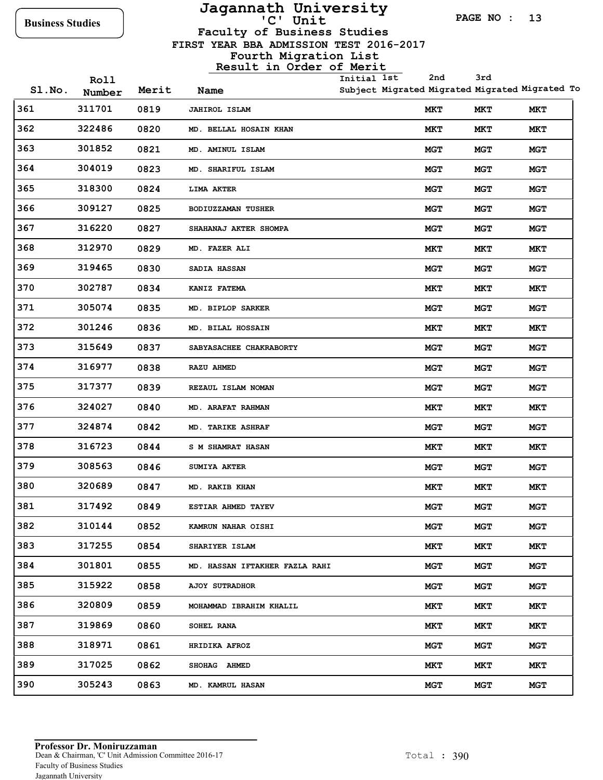**Roll**

## **Jagannath University**

**PAGE NO : 13**

**Faculty of Business Studies**

 **FIRST YEAR BBA ADMISSION TEST 2016-2017**

#### **Fourth Migration List Result in Order of Merit**

**Initial 1st 2nd** **3rd**

| SI.No. | Number | Merit | Name                                  | Subject Migrated Migrated Migrated Migrated T |            |            |
|--------|--------|-------|---------------------------------------|-----------------------------------------------|------------|------------|
| 361    | 311701 | 0819  | <b>JAHIROL ISLAM</b>                  | <b>MKT</b>                                    | MKT        | MКТ        |
| 362    | 322486 | 0820  | MD. BELLAL HOSAIN KHAN                | MКТ                                           | MКТ        | MКТ        |
| 363    | 301852 | 0821  | MD. AMINUL ISLAM                      | <b>MGT</b>                                    | <b>MGT</b> | <b>MGT</b> |
| 364    | 304019 | 0823  | MD. SHARIFUL ISLAM                    | <b>MGT</b>                                    | <b>MGT</b> | <b>MGT</b> |
| 365    | 318300 | 0824  | <b>LIMA AKTER</b>                     | <b>MGT</b>                                    | <b>MGT</b> | <b>MGT</b> |
| 366    | 309127 | 0825  | <b>BODIUZZAMAN TUSHER</b>             | <b>MGT</b>                                    | <b>MGT</b> | <b>MGT</b> |
| 367    | 316220 | 0827  | SHAHANAJ AKTER SHOMPA                 | <b>MGT</b>                                    | <b>MGT</b> | <b>MGT</b> |
| 368    | 312970 | 0829  | <b>MD. FAZER ALI</b>                  | MКТ                                           | MКТ        | MКТ        |
| 369    | 319465 | 0830  | SADIA HASSAN                          | <b>MGT</b>                                    | <b>MGT</b> | <b>MGT</b> |
| 370    | 302787 | 0834  | KANIZ FATEMA                          | MКТ                                           | MКТ        | MKT        |
| 371    | 305074 | 0835  | MD. BIPLOP SARKER                     | <b>MGT</b>                                    | <b>MGT</b> | <b>MGT</b> |
| 372    | 301246 | 0836  | MD. BILAL HOSSAIN                     | MКТ                                           | MКТ        | MКТ        |
| 373    | 315649 | 0837  | SABYASACHEE CHAKRABORTY               | <b>MGT</b>                                    | <b>MGT</b> | <b>MGT</b> |
| 374    | 316977 | 0838  | <b>RAZU AHMED</b>                     | <b>MGT</b>                                    | <b>MGT</b> | <b>MGT</b> |
| 375    | 317377 | 0839  | REZAUL ISLAM NOMAN                    | <b>MGT</b>                                    | <b>MGT</b> | MGT        |
| 376    | 324027 | 0840  | <b>MD. ARAFAT RAHMAN</b>              | MКТ                                           | MКТ        | MКТ        |
| 377    | 324874 | 0842  | <b>MD. TARIKE ASHRAF</b>              | <b>MGT</b>                                    | <b>MGT</b> | <b>MGT</b> |
| 378    | 316723 | 0844  | <b>S M SHAMRAT HASAN</b>              | MКТ                                           | MКТ        | MKT        |
| 379    | 308563 | 0846  | SUMIYA AKTER                          | <b>MGT</b>                                    | <b>MGT</b> | <b>MGT</b> |
| 380    | 320689 | 0847  | <b>MD. RAKIB KHAN</b>                 | MКТ                                           | MКТ        | MКТ        |
| 381    | 317492 | 0849  | ESTIAR AHMED TAYEV                    | <b>MGT</b>                                    | <b>MGT</b> | <b>MGT</b> |
| 382    | 310144 | 0852  | <b>KAMRUN NAHAR OISHI</b>             | <b>MGT</b>                                    | MGT        | MGT        |
| 383    | 317255 | 0854  | SHARIYER ISLAM                        | <b>MKT</b>                                    | MKT        | MКТ        |
| 384    | 301801 | 0855  | <b>MD. HASSAN IFTAKHER FAZLA RAHI</b> | <b>MGT</b>                                    | MGT        | <b>MGT</b> |
| 385    | 315922 | 0858  | <b>AJOY SUTRADHOR</b>                 | <b>MGT</b>                                    | <b>MGT</b> | <b>MGT</b> |
| 386    | 320809 | 0859  | MOHAMMAD IBRAHIM KHALIL               | MКТ                                           | MКТ        | MКТ        |
| 387    | 319869 | 0860  | SOHEL RANA                            | MКТ                                           | <b>MKT</b> | MКТ        |
| 388    | 318971 | 0861  | HRIDIKA AFROZ                         | <b>MGT</b>                                    | MGT        | <b>MGT</b> |
| 389    | 317025 | 0862  | SHOHAG AHMED                          | <b>MKT</b>                                    | MКТ        | MKT        |
| 390    | 305243 | 0863  | MD. KAMRUL HASAN                      | <b>MGT</b>                                    | MGT        | <b>MGT</b> |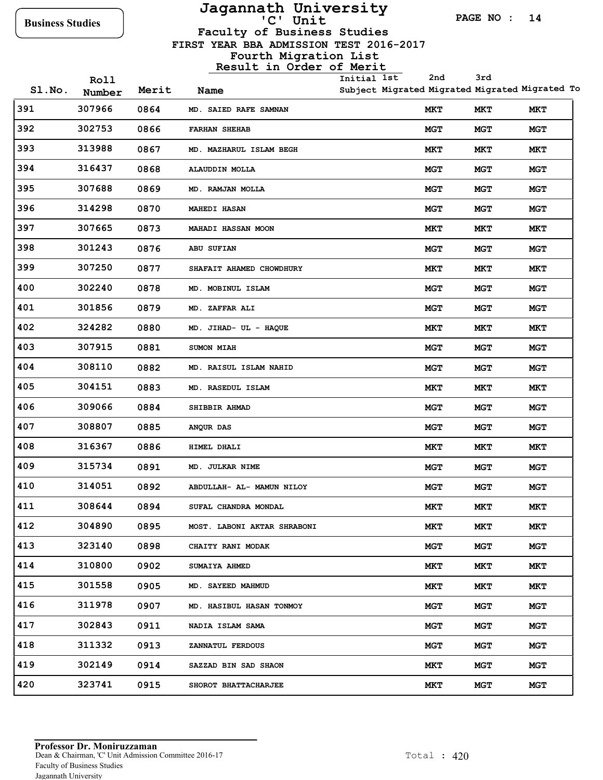## **Jagannath University**

**PAGE NO : 14**

**Faculty of Business Studies**

 **FIRST YEAR BBA ADMISSION TEST 2016-2017**

|        | Roll   |       |                             | Initial 1st | 2nd                                            | 3rd        |            |
|--------|--------|-------|-----------------------------|-------------|------------------------------------------------|------------|------------|
| SI.No. | Number | Merit | Name                        |             | Subject Migrated Migrated Migrated Migrated To |            |            |
| 391    | 307966 | 0864  | MD. SAIED RAFE SAMNAN       |             | MKT                                            | MКТ        | MKT        |
| 392    | 302753 | 0866  | <b>FARHAN SHEHAB</b>        |             | <b>MGT</b>                                     | <b>MGT</b> | MGT        |
| 393    | 313988 | 0867  | MD. MAZHARUL ISLAM BEGH     |             | MKT                                            | MКТ        | MKT        |
| 394    | 316437 | 0868  | <b>ALAUDDIN MOLLA</b>       |             | <b>MGT</b>                                     | MGT        | MGT        |
| 395    | 307688 | 0869  | MD. RAMJAN MOLLA            |             | <b>MGT</b>                                     | <b>MGT</b> | MGT        |
| 396    | 314298 | 0870  | <b>MAHEDI HASAN</b>         |             | <b>MGT</b>                                     | <b>MGT</b> | MGT        |
| 397    | 307665 | 0873  | <b>MAHADI HASSAN MOON</b>   |             | <b>MKT</b>                                     | MКТ        | MКТ        |
| 398    | 301243 | 0876  | ABU SUFIAN                  |             | <b>MGT</b>                                     | <b>MGT</b> | MGT        |
| 399    | 307250 | 0877  | SHAFAIT AHAMED CHOWDHURY    |             | MKT                                            | MKT        | MKT        |
| 400    | 302240 | 0878  | MD. MOBINUL ISLAM           |             | <b>MGT</b>                                     | <b>MGT</b> | MGT        |
| 401    | 301856 | 0879  | MD. ZAFFAR ALI              |             | <b>MGT</b>                                     | <b>MGT</b> | <b>MGT</b> |
| 402    | 324282 | 0880  | MD. JIHAD- UL - HAQUE       |             | MКТ                                            | MКТ        | MKT        |
| 403    | 307915 | 0881  | <b>SUMON MIAH</b>           |             | <b>MGT</b>                                     | <b>MGT</b> | MGT        |
| 404    | 308110 | 0882  | MD. RAISUL ISLAM NAHID      |             | <b>MGT</b>                                     | <b>MGT</b> | <b>MGT</b> |
| 405    | 304151 | 0883  | MD. RASEDUL ISLAM           |             | MКТ                                            | MKT        | MKT        |
| 406    | 309066 | 0884  | <b>SHIBBIR AHMAD</b>        |             | MGT                                            | <b>MGT</b> | <b>MGT</b> |
| 407    | 308807 | 0885  | ANQUR DAS                   |             | <b>MGT</b>                                     | <b>MGT</b> | MGT        |
| 408    | 316367 | 0886  | HIMEL DHALI                 |             | MКТ                                            | MKT        | MКТ        |
| 409    | 315734 | 0891  | MD. JULKAR NIME             |             | <b>MGT</b>                                     | <b>MGT</b> | MGT        |
| 410    | 314051 | 0892  | ABDULLAH- AL- MAMUN NILOY   |             | <b>MGT</b>                                     | <b>MGT</b> | MGT        |
| 411    | 308644 | 0894  | SUFAL CHANDRA MONDAL        |             | MКТ                                            | MКТ        | <b>MKT</b> |
| 412    | 304890 | 0895  | MOST. LABONI AKTAR SHRABONI |             | MKT                                            | MКТ        | MKT        |
| 413    | 323140 | 0898  | CHAITY RANI MODAK           |             | <b>MGT</b>                                     | MGT        | <b>MGT</b> |
| 414    | 310800 | 0902  | <b>SUMAIYA AHMED</b>        |             | MКТ                                            | MКТ        | MКТ        |
| 415    | 301558 | 0905  | MD. SAYEED MAHMUD           |             | MКТ                                            | MКТ        | MKT        |
| 416    | 311978 | 0907  | MD. HASIBUL HASAN TONMOY    |             | <b>MGT</b>                                     | MGT        | MGT        |
| 417    | 302843 | 0911  | NADIA ISLAM SAMA            |             | MGT                                            | <b>MGT</b> | <b>MGT</b> |
| 418    | 311332 | 0913  | ZANNATUL FERDOUS            |             | <b>MGT</b>                                     | <b>MGT</b> | <b>MGT</b> |
| 419    | 302149 | 0914  | <b>SAZZAD BIN SAD SHAON</b> |             | MКТ                                            | <b>MGT</b> | MGT        |
| 420    | 323741 | 0915  | SHOROT BHATTACHARJEE        |             | MКТ                                            | <b>MGT</b> | <b>MGT</b> |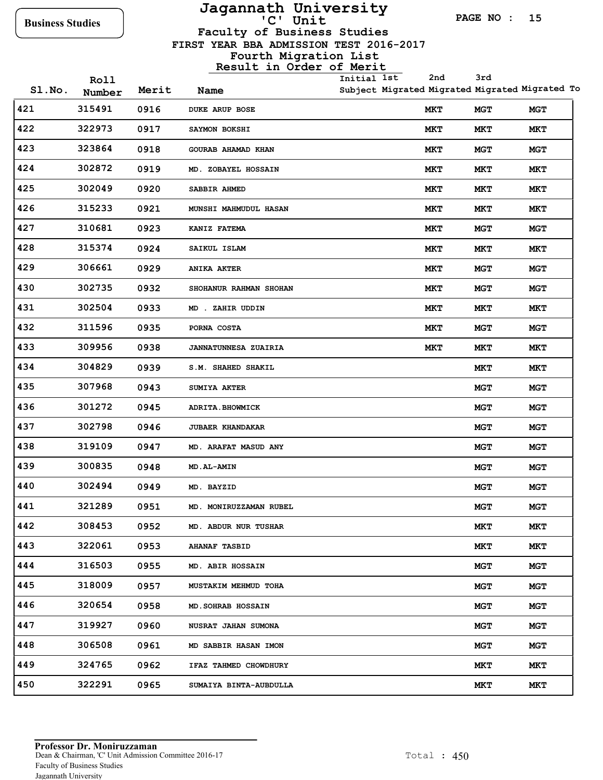## **Jagannath University**

**PAGE NO : 15**

**Faculty of Business Studies**

 **FIRST YEAR BBA ADMISSION TEST 2016-2017**

|        | Roll   |       |                             | Initial 1st | 2nd | 3rd        |                                                |
|--------|--------|-------|-----------------------------|-------------|-----|------------|------------------------------------------------|
| SI.No. | Number | Merit | Name                        |             |     |            | Subject Migrated Migrated Migrated Migrated To |
| 421    | 315491 | 0916  | <b>DUKE ARUP BOSE</b>       |             | MКТ | <b>MGT</b> | MGT                                            |
| 422    | 322973 | 0917  | SAYMON BOKSHI               |             | MКТ | MKT        | MКТ                                            |
| 423    | 323864 | 0918  | GOURAB AHAMAD KHAN          |             | MКТ | MGT        | MGT                                            |
| 424    | 302872 | 0919  | MD. ZOBAYEL HOSSAIN         |             | MКТ | MКТ        | MKT                                            |
| 425    | 302049 | 0920  | SABBIR AHMED                |             | MКТ | MKT        | MKT                                            |
| 426    | 315233 | 0921  | MUNSHI MAHMUDUL HASAN       |             | MКТ | MKT        | MKT                                            |
| 427    | 310681 | 0923  | KANIZ FATEMA                |             | MКТ | MGT        | MGT                                            |
| 428    | 315374 | 0924  | SAIKUL ISLAM                |             | MКТ | MKT        | MKT                                            |
| 429    | 306661 | 0929  | <b>ANIKA AKTER</b>          |             | MКТ | MGT        | MGT                                            |
| 430    | 302735 | 0932  | SHOHANUR RAHMAN SHOHAN      |             | MКТ | MGT        | <b>MGT</b>                                     |
| 431    | 302504 | 0933  | MD . ZAHIR UDDIN            |             | MКТ | MKT        | MКТ                                            |
| 432    | 311596 | 0935  | PORNA COSTA                 |             | MКТ | MGT        | <b>MGT</b>                                     |
| 433    | 309956 | 0938  | <b>JANNATUNNESA ZUAIRIA</b> |             | MКТ | MKT        | MKT                                            |
| 434    | 304829 | 0939  | S.M. SHAHED SHAKIL          |             |     | MКТ        | MКТ                                            |
| 435    | 307968 | 0943  | <b>SUMIYA AKTER</b>         |             |     | MGT        | <b>MGT</b>                                     |
| 436    | 301272 | 0945  | <b>ADRITA.BHOWMICK</b>      |             |     | MGT        | <b>MGT</b>                                     |
| 437    | 302798 | 0946  | <b>JUBAER KHANDAKAR</b>     |             |     | MGT        | MGT                                            |
| 438    | 319109 | 0947  | MD. ARAFAT MASUD ANY        |             |     | MGT        | MGT                                            |
| 439    | 300835 | 0948  | <b>MD.AL-AMIN</b>           |             |     | MGT        | <b>MGT</b>                                     |
| 440    | 302494 | 0949  | MD. BAYZID                  |             |     | MGT        | MGT                                            |
| 441    | 321289 | 0951  | MD. MONIRUZZAMAN RUBEL      |             |     | <b>MGT</b> | <b>MGT</b>                                     |
| 442    | 308453 | 0952  | MD. ABDUR NUR TUSHAR        |             |     | MKT        | MKT                                            |
| 443    | 322061 | 0953  | <b>AHANAF TASBID</b>        |             |     | MKT        | MКТ                                            |
| 444    | 316503 | 0955  | MD. ABIR HOSSAIN            |             |     | <b>MGT</b> | <b>MGT</b>                                     |
| 445    | 318009 | 0957  | MUSTAKIM MEHMUD TOHA        |             |     | <b>MGT</b> | <b>MGT</b>                                     |
| 446    | 320654 | 0958  | <b>MD. SOHRAB HOSSAIN</b>   |             |     | <b>MGT</b> | MGT                                            |
| 447    | 319927 | 0960  | NUSRAT JAHAN SUMONA         |             |     | <b>MGT</b> | MGT                                            |
| 448    | 306508 | 0961  | MD SABBIR HASAN IMON        |             |     | <b>MGT</b> | <b>MGT</b>                                     |
| 449    | 324765 | 0962  | IFAZ TAHMED CHOWDHURY       |             |     | MKT        | MKT                                            |
| 450    | 322291 | 0965  | SUMAIYA BINTA-AUBDULLA      |             |     | MKT        | MKT                                            |